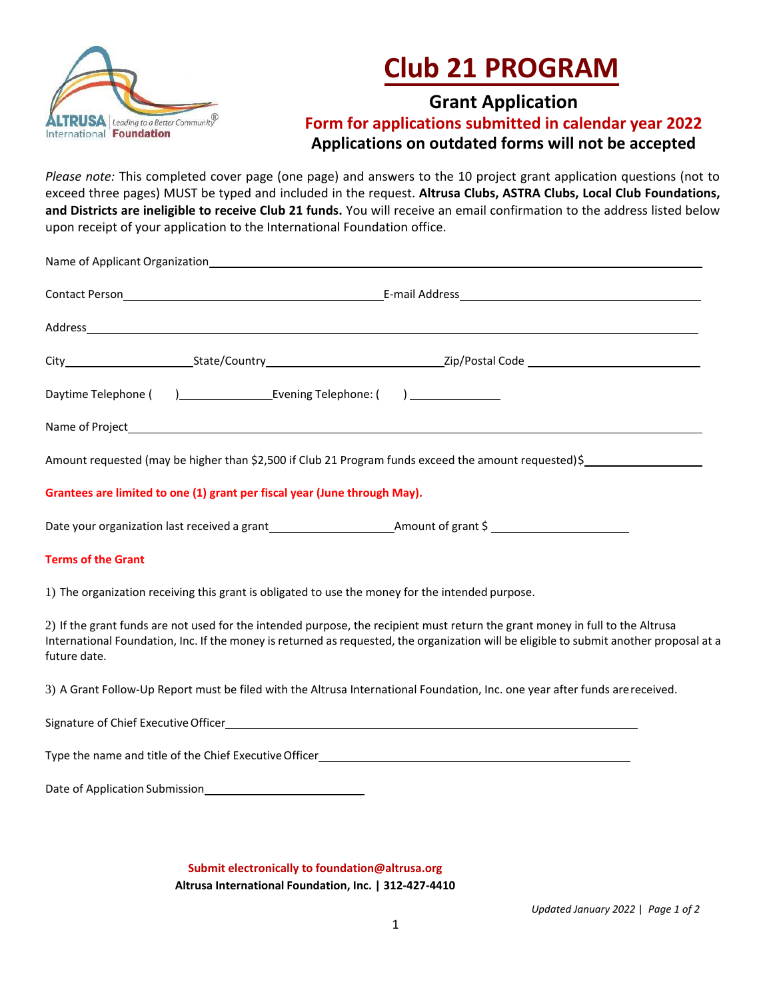

## **Club 21 PROGRAM**

## **Grant Application Form for applications submitted in calendar year 2022 Applications on outdated forms will not be accepted**

*Please note:* This completed cover page (one page) and answers to the 10 project grant application questions (not to exceed three pages) MUST be typed and included in the request. **Altrusa Clubs, ASTRA Clubs, Local Club Foundations, and Districts are ineligible to receive Club 21 funds.** You will receive an email confirmation to the address listed below upon receipt of your application to the International Foundation office.

|                                | Name of Applicant Organization <b>Example 20</b> Name of Applicant Control of Applicant Organization |                                                                                                                                                                                                                                                                          |
|--------------------------------|------------------------------------------------------------------------------------------------------|--------------------------------------------------------------------------------------------------------------------------------------------------------------------------------------------------------------------------------------------------------------------------|
|                                |                                                                                                      |                                                                                                                                                                                                                                                                          |
|                                |                                                                                                      |                                                                                                                                                                                                                                                                          |
|                                |                                                                                                      |                                                                                                                                                                                                                                                                          |
|                                |                                                                                                      |                                                                                                                                                                                                                                                                          |
|                                |                                                                                                      |                                                                                                                                                                                                                                                                          |
|                                |                                                                                                      | Amount requested (may be higher than \$2,500 if Club 21 Program funds exceed the amount requested) \$                                                                                                                                                                    |
|                                | Grantees are limited to one (1) grant per fiscal year (June through May).                            |                                                                                                                                                                                                                                                                          |
|                                |                                                                                                      |                                                                                                                                                                                                                                                                          |
| <b>Terms of the Grant</b>      |                                                                                                      |                                                                                                                                                                                                                                                                          |
|                                | 1) The organization receiving this grant is obligated to use the money for the intended purpose.     |                                                                                                                                                                                                                                                                          |
| future date.                   |                                                                                                      | 2) If the grant funds are not used for the intended purpose, the recipient must return the grant money in full to the Altrusa<br>International Foundation, Inc. If the money is returned as requested, the organization will be eligible to submit another proposal at a |
|                                |                                                                                                      | 3) A Grant Follow-Up Report must be filed with the Altrusa International Foundation, Inc. one year after funds are received.                                                                                                                                             |
|                                |                                                                                                      |                                                                                                                                                                                                                                                                          |
|                                |                                                                                                      | Type the name and title of the Chief Executive Officer <b>Executive Chief Executive Chief Chief Chief Chief Executive Chief Chief Chief Chief Chief Chief Chief Chief Chief Chief Chief Chief Chief Chief Chief Chief Chief Chie</b>                                     |
| Date of Application Submission |                                                                                                      |                                                                                                                                                                                                                                                                          |

**Submit electronically to foundation@altrusa.org Altrusa International Foundation, Inc. | 312-427-4410**